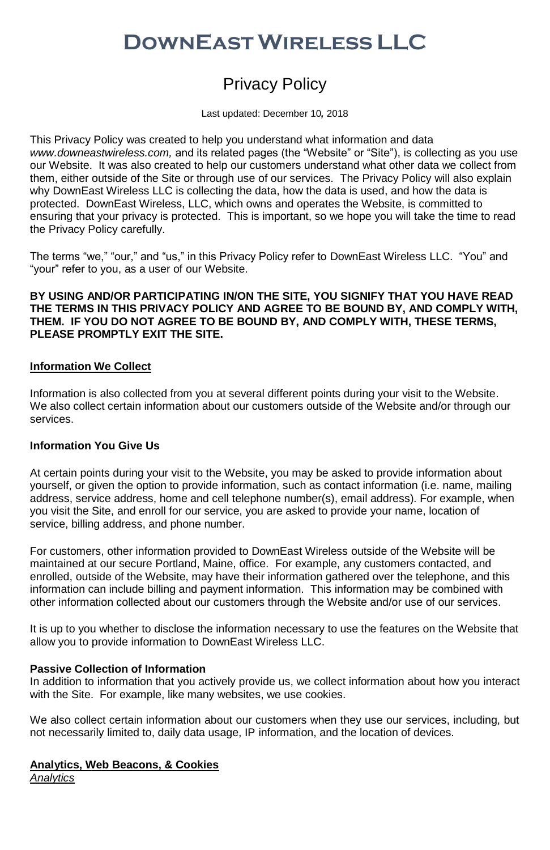# **DownEastWireless LLC**

# Privacy Policy

Last updated: December 10*,* 2018

This Privacy Policy was created to help you understand what information and data *www.downeastwireless.com,* and its related pages (the "Website" or "Site"), is collecting as you use our Website. It was also created to help our customers understand what other data we collect from them, either outside of the Site or through use of our services. The Privacy Policy will also explain why DownEast Wireless LLC is collecting the data, how the data is used, and how the data is protected. DownEast Wireless, LLC, which owns and operates the Website, is committed to ensuring that your privacy is protected. This is important, so we hope you will take the time to read the Privacy Policy carefully.

The terms "we," "our," and "us," in this Privacy Policy refer to DownEast Wireless LLC. "You" and "your" refer to you, as a user of our Website.

#### **BY USING AND/OR PARTICIPATING IN/ON THE SITE, YOU SIGNIFY THAT YOU HAVE READ THE TERMS IN THIS PRIVACY POLICY AND AGREE TO BE BOUND BY, AND COMPLY WITH, THEM. IF YOU DO NOT AGREE TO BE BOUND BY, AND COMPLY WITH, THESE TERMS, PLEASE PROMPTLY EXIT THE SITE.**

## **Information We Collect**

Information is also collected from you at several different points during your visit to the Website. We also collect certain information about our customers outside of the Website and/or through our services.

# **Information You Give Us**

At certain points during your visit to the Website, you may be asked to provide information about yourself, or given the option to provide information, such as contact information (i.e. name, mailing address, service address, home and cell telephone number(s), email address). For example, when you visit the Site, and enroll for our service, you are asked to provide your name, location of service, billing address, and phone number.

For customers, other information provided to DownEast Wireless outside of the Website will be maintained at our secure Portland, Maine, office. For example, any customers contacted, and enrolled, outside of the Website, may have their information gathered over the telephone, and this information can include billing and payment information. This information may be combined with other information collected about our customers through the Website and/or use of our services.

It is up to you whether to disclose the information necessary to use the features on the Website that allow you to provide information to DownEast Wireless LLC.

### **Passive Collection of Information**

In addition to information that you actively provide us, we collect information about how you interact with the Site. For example, like many websites, we use cookies.

We also collect certain information about our customers when they use our services, including, but not necessarily limited to, daily data usage, IP information, and the location of devices.

#### **Analytics, Web Beacons, & Cookies** *Analytics*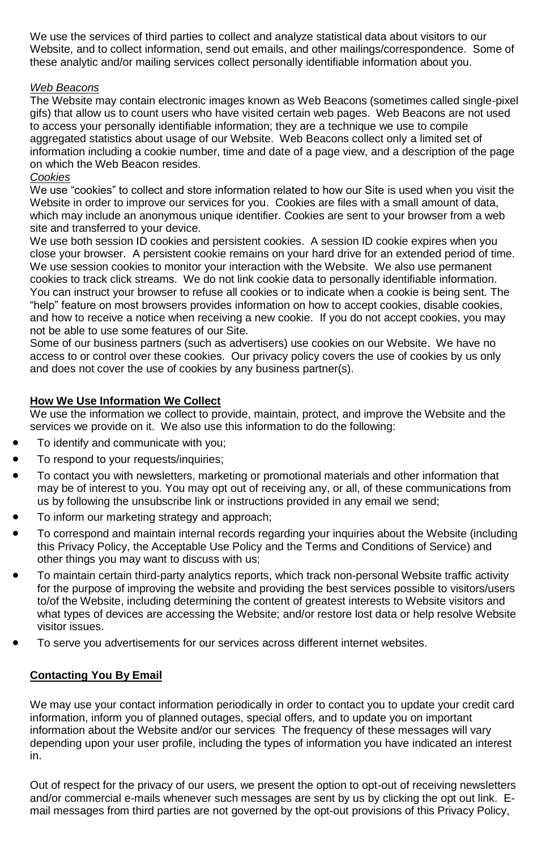We use the services of third parties to collect and analyze statistical data about visitors to our Website, and to collect information, send out emails, and other mailings/correspondence. Some of these analytic and/or mailing services collect personally identifiable information about you.

# *Web Beacons*

The Website may contain electronic images known as Web Beacons (sometimes called single-pixel gifs) that allow us to count users who have visited certain web pages. Web Beacons are not used to access your personally identifiable information; they are a technique we use to compile aggregated statistics about usage of our Website. Web Beacons collect only a limited set of information including a cookie number, time and date of a page view, and a description of the page on which the Web Beacon resides.

# *Cookies*

We use "cookies" to collect and store information related to how our Site is used when you visit the Website in order to improve our services for you. Cookies are files with a small amount of data, which may include an anonymous unique identifier. Cookies are sent to your browser from a web site and transferred to your device.

We use both session ID cookies and persistent cookies. A session ID cookie expires when you close your browser. A persistent cookie remains on your hard drive for an extended period of time. We use session cookies to monitor your interaction with the Website. We also use permanent cookies to track click streams. We do not link cookie data to personally identifiable information. You can instruct your browser to refuse all cookies or to indicate when a cookie is being sent. The "help" feature on most browsers provides information on how to accept cookies, disable cookies, and how to receive a notice when receiving a new cookie. If you do not accept cookies, you may not be able to use some features of our Site.

Some of our business partners (such as advertisers) use cookies on our Website. We have no access to or control over these cookies. Our privacy policy covers the use of cookies by us only and does not cover the use of cookies by any business partner(s).

# **How We Use Information We Collect**

We use the information we collect to provide, maintain, protect, and improve the Website and the services we provide on it. We also use this information to do the following:

- To identify and communicate with you;
- To respond to your requests/inquiries;
- To contact you with newsletters, marketing or promotional materials and other information that may be of interest to you. You may opt out of receiving any, or all, of these communications from us by following the unsubscribe link or instructions provided in any email we send;
- To inform our marketing strategy and approach;
- To correspond and maintain internal records regarding your inquiries about the Website (including this Privacy Policy, the Acceptable Use Policy and the Terms and Conditions of Service) and other things you may want to discuss with us;
- To maintain certain third-party analytics reports, which track non-personal Website traffic activity for the purpose of improving the website and providing the best services possible to visitors/users to/of the Website, including determining the content of greatest interests to Website visitors and what types of devices are accessing the Website; and/or restore lost data or help resolve Website visitor issues.
- To serve you advertisements for our services across different internet websites.

# **Contacting You By Email**

We may use your contact information periodically in order to contact you to update your credit card information, inform you of planned outages, special offers, and to update you on important information about the Website and/or our services The frequency of these messages will vary depending upon your user profile, including the types of information you have indicated an interest in.

Out of respect for the privacy of our users, we present the option to opt-out of receiving newsletters and/or commercial e-mails whenever such messages are sent by us by clicking the opt out link. Email messages from third parties are not governed by the opt-out provisions of this Privacy Policy,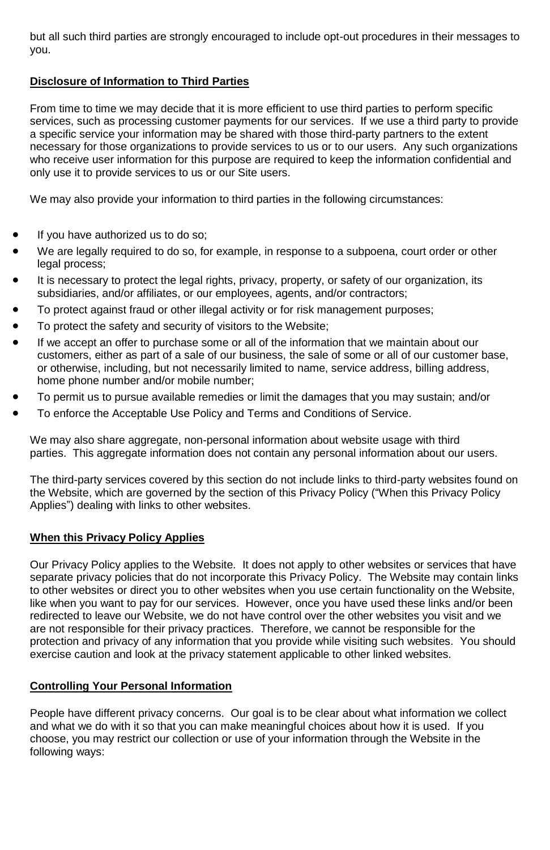but all such third parties are strongly encouraged to include opt-out procedures in their messages to you.

# **Disclosure of Information to Third Parties**

From time to time we may decide that it is more efficient to use third parties to perform specific services, such as processing customer payments for our services. If we use a third party to provide a specific service your information may be shared with those third-party partners to the extent necessary for those organizations to provide services to us or to our users. Any such organizations who receive user information for this purpose are required to keep the information confidential and only use it to provide services to us or our Site users.

We may also provide your information to third parties in the following circumstances:

- If you have authorized us to do so:
- We are legally required to do so, for example, in response to a subpoena, court order or other legal process;
- It is necessary to protect the legal rights, privacy, property, or safety of our organization, its subsidiaries, and/or affiliates, or our employees, agents, and/or contractors;
- To protect against fraud or other illegal activity or for risk management purposes;
- To protect the safety and security of visitors to the Website;
- If we accept an offer to purchase some or all of the information that we maintain about our customers, either as part of a sale of our business, the sale of some or all of our customer base, or otherwise, including, but not necessarily limited to name, service address, billing address, home phone number and/or mobile number;
- To permit us to pursue available remedies or limit the damages that you may sustain; and/or
- To enforce the Acceptable Use Policy and Terms and Conditions of Service.

We may also share aggregate, non-personal information about website usage with third parties. This aggregate information does not contain any personal information about our users.

The third-party services covered by this section do not include links to third-party websites found on the Website, which are governed by the section of this Privacy Policy ("When this Privacy Policy Applies") dealing with links to other websites.

### **When this Privacy Policy Applies**

Our Privacy Policy applies to the Website. It does not apply to other websites or services that have separate privacy policies that do not incorporate this Privacy Policy. The Website may contain links to other websites or direct you to other websites when you use certain functionality on the Website, like when you want to pay for our services. However, once you have used these links and/or been redirected to leave our Website, we do not have control over the other websites you visit and we are not responsible for their privacy practices. Therefore, we cannot be responsible for the protection and privacy of any information that you provide while visiting such websites. You should exercise caution and look at the privacy statement applicable to other linked websites.

# **Controlling Your Personal Information**

People have different privacy concerns. Our goal is to be clear about what information we collect and what we do with it so that you can make meaningful choices about how it is used. If you choose, you may restrict our collection or use of your information through the Website in the following ways: